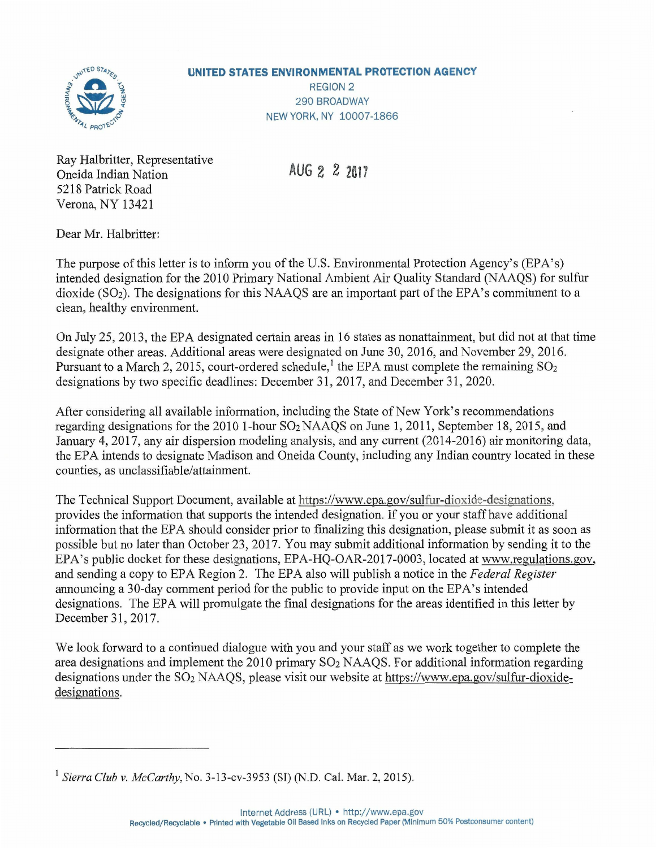

## **UNITED STATES ENVIRONMENTAL PROTECTION AGENCY**

REGION 2 290 BROADWAY NEW YORK, NY 10007-1866

Ray Halbritter, Representative Oneida Indian Nation 5218 Patrick Road Verona, NY 13421

**AUG** 2 2 **<sup>2017</sup>**

Dear Mr. Halbritter:

The purpose of this letter is to inform you of the U.S. Environmental Protection Agency's (EPA's) intended designation for the 2010 Primary National Ambient Air Quality Standard (NAAQS) for sulfur dioxide (S02). The designations for this NAAQS are an important part of the EPA's commitment to a clean, healthy environment.

On July 25,2013, the EPA designated certain areas in 16 states as nonattainment, but did not at that time designate other areas. Additional areas were designated on June 30, 2016, and November 29,2016. Pursuant to a March 2, 2015, court-ordered schedule,<sup>1</sup> the EPA must complete the remaining  $SO_2$ designations by two specific deadlines: December 31,2017, and December 31, 2020.

After considering all available information, including the State of New York's recommendations regarding designations for the 2010 1-hour  $SO_2$  NAAQS on June 1, 2011, September 18, 2015, and January 4,2017, any air dispersion modeling analysis, and any current (2014-2016) air monitoring data, the EPA intends to designate Madison and Oneida County, including any Indian country located in these counties, as unclassifiable/attainment.

The Technical Support Document, available at https://www.epa.gov/sulfur-dioxide-designations, provides the information that supports the intended designation. If you or your staff have additional information that the EPA should consider prior to finalizing this designation, please submit it as soon as possible but no later than October 23,2017. You may submit additional information by sending it to the EPA's public docket for these designations, EPA-HQ-OAR-2017-0003, located at www.regulations.gov, and sending a copy to EPA Region 2. The EPA also will publish a notice in the *Federal Register* announcing a 30-day comment period for the public to provide input on the EPA's intended designations. The EPA will promulgate the final designations for the areas identified in this letter by December 31,2017.

We look forward to a continued dialogue with you and your staff as we work together to complete the area designations and implement the  $2010$  primary  $SO<sub>2</sub>$  NAAQS. For additional information regarding designations under the  $SO_2$  NAAQS, please visit our website at https://www.epa.gov/sulfur-dioxidedesignations.

*<sup>1</sup> Sierra Club* v. *McCarthy,* No. 3-13-cv-3953 (SI) (N.D. Cal. Mar. 2, 2015).